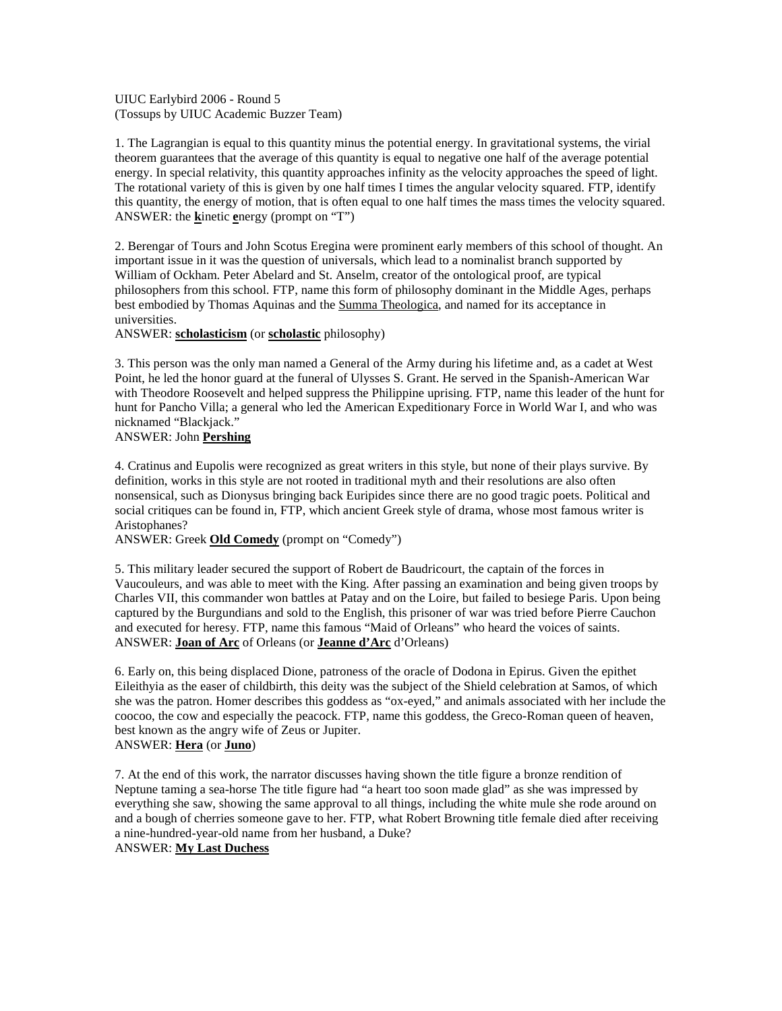UIUC Earlybird 2006 - Round 5 (Tossups by UIUC Academic Buzzer Team)

1. The Lagrangian is equal to this quantity minus the potential energy. In gravitational systems, the virial theorem guarantees that the average of this quantity is equal to negative one half of the average potential energy. In special relativity, this quantity approaches infinity as the velocity approaches the speed of light. The rotational variety of this is given by one half times I times the angular velocity squared. FTP, identify this quantity, the energy of motion, that is often equal to one half times the mass times the velocity squared. ANSWER: the **k**inetic **e**nergy (prompt on "T")

2. Berengar of Tours and John Scotus Eregina were prominent early members of this school of thought. An important issue in it was the question of universals, which lead to a nominalist branch supported by William of Ockham. Peter Abelard and St. Anselm, creator of the ontological proof, are typical philosophers from this school. FTP, name this form of philosophy dominant in the Middle Ages, perhaps best embodied by Thomas Aquinas and the Summa Theologica, and named for its acceptance in universities.

ANSWER: **scholasticism** (or **scholastic** philosophy)

3. This person was the only man named a General of the Army during his lifetime and, as a cadet at West Point, he led the honor guard at the funeral of Ulysses S. Grant. He served in the Spanish-American War with Theodore Roosevelt and helped suppress the Philippine uprising. FTP, name this leader of the hunt for hunt for Pancho Villa; a general who led the American Expeditionary Force in World War I, and who was nicknamed "Blackjack."

## ANSWER: John **Pershing**

4. Cratinus and Eupolis were recognized as great writers in this style, but none of their plays survive. By definition, works in this style are not rooted in traditional myth and their resolutions are also often nonsensical, such as Dionysus bringing back Euripides since there are no good tragic poets. Political and social critiques can be found in, FTP, which ancient Greek style of drama, whose most famous writer is Aristophanes?

ANSWER: Greek **Old Comedy** (prompt on "Comedy")

5. This military leader secured the support of Robert de Baudricourt, the captain of the forces in Vaucouleurs, and was able to meet with the King. After passing an examination and being given troops by Charles VII, this commander won battles at Patay and on the Loire, but failed to besiege Paris. Upon being captured by the Burgundians and sold to the English, this prisoner of war was tried before Pierre Cauchon and executed for heresy. FTP, name this famous "Maid of Orleans" who heard the voices of saints. ANSWER: **Joan of Arc** of Orleans (or **Jeanne d'Arc** d'Orleans)

6. Early on, this being displaced Dione, patroness of the oracle of Dodona in Epirus. Given the epithet Eileithyia as the easer of childbirth, this deity was the subject of the Shield celebration at Samos, of which she was the patron. Homer describes this goddess as "ox-eyed," and animals associated with her include the coocoo, the cow and especially the peacock. FTP, name this goddess, the Greco-Roman queen of heaven, best known as the angry wife of Zeus or Jupiter. ANSWER: **Hera** (or **Juno**)

7. At the end of this work, the narrator discusses having shown the title figure a bronze rendition of Neptune taming a sea-horse The title figure had "a heart too soon made glad" as she was impressed by everything she saw, showing the same approval to all things, including the white mule she rode around on and a bough of cherries someone gave to her. FTP, what Robert Browning title female died after receiving a nine-hundred-year-old name from her husband, a Duke?

ANSWER: **My Last Duchess**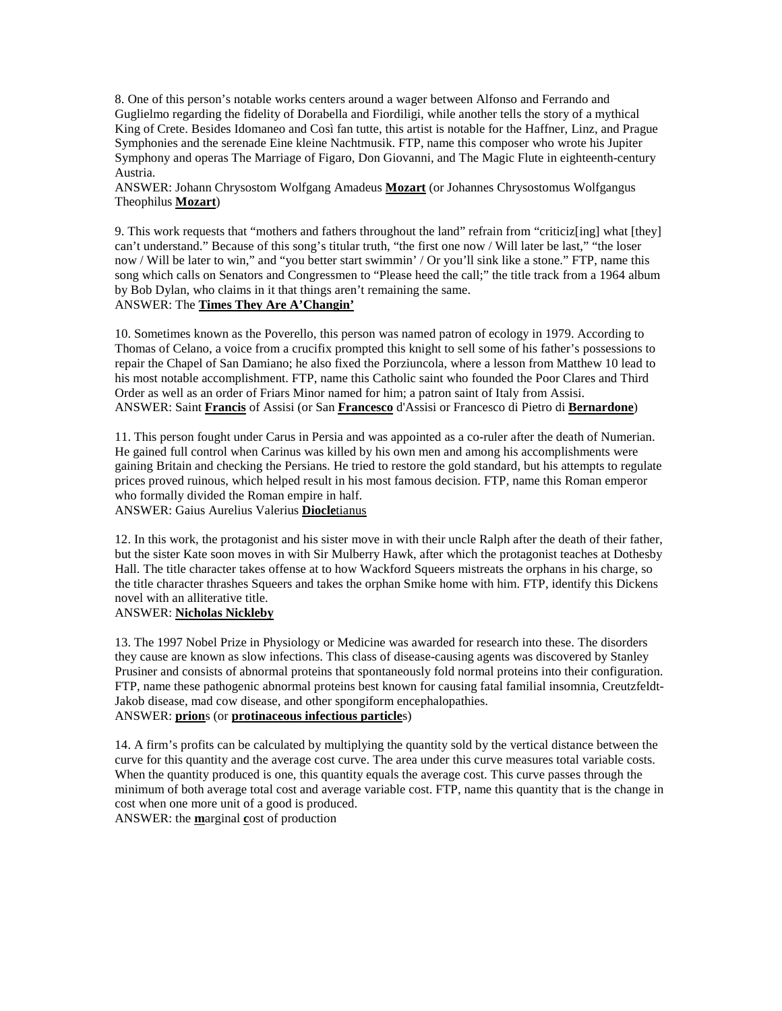8. One of this person's notable works centers around a wager between Alfonso and Ferrando and Guglielmo regarding the fidelity of Dorabella and Fiordiligi, while another tells the story of a mythical King of Crete. Besides Idomaneo and Così fan tutte, this artist is notable for the Haffner, Linz, and Prague Symphonies and the serenade Eine kleine Nachtmusik. FTP, name this composer who wrote his Jupiter Symphony and operas The Marriage of Figaro, Don Giovanni, and The Magic Flute in eighteenth-century Austria.

ANSWER: Johann Chrysostom Wolfgang Amadeus **Mozart** (or Johannes Chrysostomus Wolfgangus Theophilus **Mozart**)

9. This work requests that "mothers and fathers throughout the land" refrain from "criticiz[ing] what [they] can't understand." Because of this song's titular truth, "the first one now / Will later be last," "the loser now / Will be later to win," and "you better start swimmin' / Or you'll sink like a stone." FTP, name this song which calls on Senators and Congressmen to "Please heed the call;" the title track from a 1964 album by Bob Dylan, who claims in it that things aren't remaining the same.

# ANSWER: The **Times They Are A'Changin'**

10. Sometimes known as the Poverello, this person was named patron of ecology in 1979. According to Thomas of Celano, a voice from a crucifix prompted this knight to sell some of his father's possessions to repair the Chapel of San Damiano; he also fixed the Porziuncola, where a lesson from Matthew 10 lead to his most notable accomplishment. FTP, name this Catholic saint who founded the Poor Clares and Third Order as well as an order of Friars Minor named for him; a patron saint of Italy from Assisi. ANSWER: Saint **Francis** of Assisi (or San **Francesco** d'Assisi or Francesco di Pietro di **Bernardone**)

11. This person fought under Carus in Persia and was appointed as a co-ruler after the death of Numerian. He gained full control when Carinus was killed by his own men and among his accomplishments were gaining Britain and checking the Persians. He tried to restore the gold standard, but his attempts to regulate prices proved ruinous, which helped result in his most famous decision. FTP, name this Roman emperor who formally divided the Roman empire in half. ANSWER: Gaius Aurelius Valerius **Diocle**tianus

12. In this work, the protagonist and his sister move in with their uncle Ralph after the death of their father, but the sister Kate soon moves in with Sir Mulberry Hawk, after which the protagonist teaches at Dothesby Hall. The title character takes offense at to how Wackford Squeers mistreats the orphans in his charge, so the title character thrashes Squeers and takes the orphan Smike home with him. FTP, identify this Dickens novel with an alliterative title.

## ANSWER: **Nicholas Nickleby**

13. The 1997 Nobel Prize in Physiology or Medicine was awarded for research into these. The disorders they cause are known as slow infections. This class of disease-causing agents was discovered by Stanley Prusiner and consists of abnormal proteins that spontaneously fold normal proteins into their configuration. FTP, name these pathogenic abnormal proteins best known for causing fatal familial insomnia, Creutzfeldt-Jakob disease, mad cow disease, and other spongiform encephalopathies. ANSWER: **prion**s (or **protinaceous infectious particle**s)

14. A firm's profits can be calculated by multiplying the quantity sold by the vertical distance between the curve for this quantity and the average cost curve. The area under this curve measures total variable costs. When the quantity produced is one, this quantity equals the average cost. This curve passes through the minimum of both average total cost and average variable cost. FTP, name this quantity that is the change in cost when one more unit of a good is produced. ANSWER: the **m**arginal **c**ost of production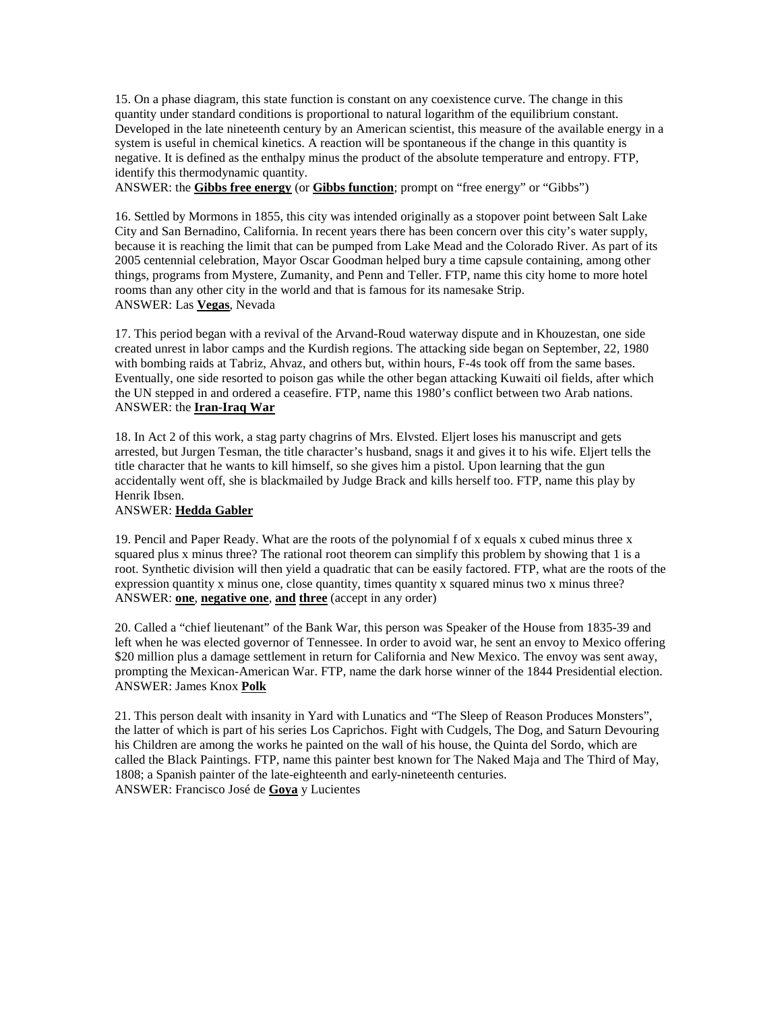15. On a phase diagram, this state function is constant on any coexistence curve. The change in this quantity under standard conditions is proportional to natural logarithm of the equilibrium constant. Developed in the late nineteenth century by an American scientist, this measure of the available energy in a system is useful in chemical kinetics. A reaction will be spontaneous if the change in this quantity is negative. It is defined as the enthalpy minus the product of the absolute temperature and entropy. FTP, identify this thermodynamic quantity.

ANSWER: the **Gibbs free energy** (or **Gibbs function**; prompt on "free energy" or "Gibbs")

16. Settled by Mormons in 1855, this city was intended originally as a stopover point between Salt Lake City and San Bernadino, California. In recent years there has been concern over this city's water supply, because it is reaching the limit that can be pumped from Lake Mead and the Colorado River. As part of its 2005 centennial celebration, Mayor Oscar Goodman helped bury a time capsule containing, among other things, programs from Mystere, Zumanity, and Penn and Teller. FTP, name this city home to more hotel rooms than any other city in the world and that is famous for its namesake Strip. ANSWER: Las **Vegas**, Nevada

17. This period began with a revival of the Arvand-Roud waterway dispute and in Khouzestan, one side created unrest in labor camps and the Kurdish regions. The attacking side began on September, 22, 1980 with bombing raids at Tabriz, Ahvaz, and others but, within hours, F-4s took off from the same bases. Eventually, one side resorted to poison gas while the other began attacking Kuwaiti oil fields, after which the UN stepped in and ordered a ceasefire. FTP, name this 1980's conflict between two Arab nations. ANSWER: the **Iran-Iraq War**

18. In Act 2 of this work, a stag party chagrins of Mrs. Elvsted. Eljert loses his manuscript and gets arrested, but Jurgen Tesman, the title character's husband, snags it and gives it to his wife. Eljert tells the title character that he wants to kill himself, so she gives him a pistol. Upon learning that the gun accidentally went off, she is blackmailed by Judge Brack and kills herself too. FTP, name this play by Henrik Ibsen.

## ANSWER: **Hedda Gabler**

19. Pencil and Paper Ready. What are the roots of the polynomial f of x equals x cubed minus three x squared plus x minus three? The rational root theorem can simplify this problem by showing that 1 is a root. Synthetic division will then yield a quadratic that can be easily factored. FTP, what are the roots of the expression quantity x minus one, close quantity, times quantity x squared minus two x minus three? ANSWER: **one**, **negative one**, **and three** (accept in any order)

20. Called a "chief lieutenant" of the Bank War, this person was Speaker of the House from 1835-39 and left when he was elected governor of Tennessee. In order to avoid war, he sent an envoy to Mexico offering \$20 million plus a damage settlement in return for California and New Mexico. The envoy was sent away, prompting the Mexican-American War. FTP, name the dark horse winner of the 1844 Presidential election. ANSWER: James Knox **Polk**

21. This person dealt with insanity in Yard with Lunatics and "The Sleep of Reason Produces Monsters", the latter of which is part of his series Los Caprichos. Fight with Cudgels, The Dog, and Saturn Devouring his Children are among the works he painted on the wall of his house, the Quinta del Sordo, which are called the Black Paintings. FTP, name this painter best known for The Naked Maja and The Third of May, 1808; a Spanish painter of the late-eighteenth and early-nineteenth centuries. ANSWER: Francisco José de **Goya** y Lucientes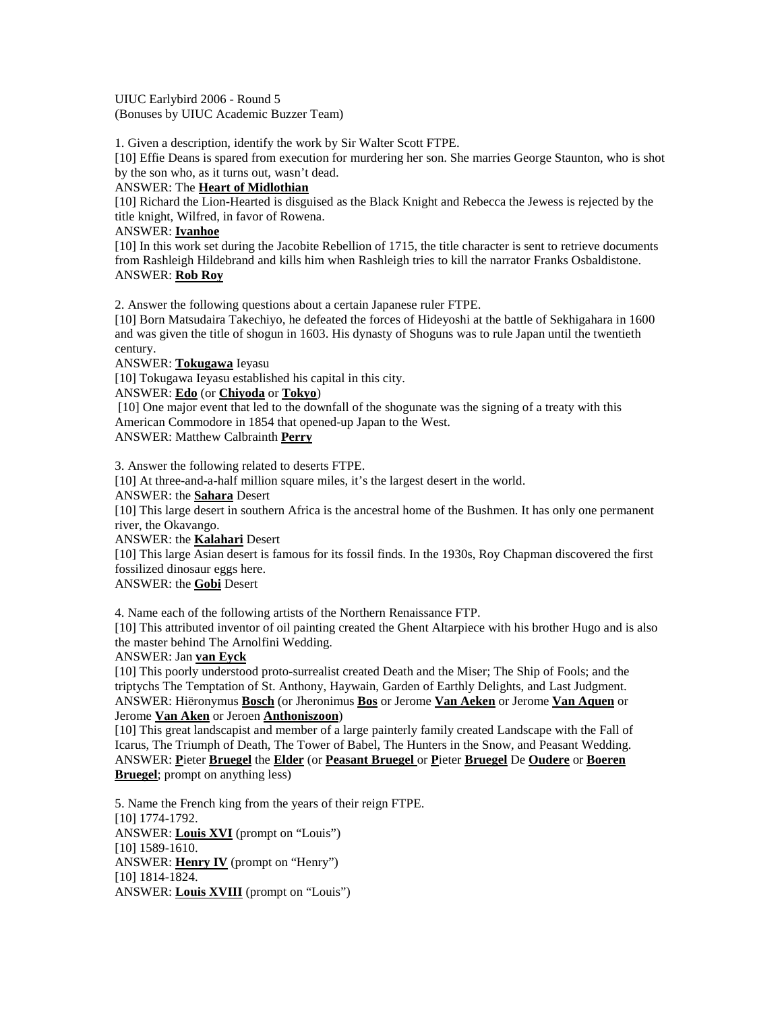UIUC Earlybird 2006 - Round 5 (Bonuses by UIUC Academic Buzzer Team)

1. Given a description, identify the work by Sir Walter Scott FTPE.

[10] Effie Deans is spared from execution for murdering her son. She marries George Staunton, who is shot by the son who, as it turns out, wasn't dead.

#### ANSWER: The **Heart of Midlothian**

[10] Richard the Lion-Hearted is disguised as the Black Knight and Rebecca the Jewess is rejected by the title knight, Wilfred, in favor of Rowena.

#### ANSWER: **Ivanhoe**

[10] In this work set during the Jacobite Rebellion of 1715, the title character is sent to retrieve documents from Rashleigh Hildebrand and kills him when Rashleigh tries to kill the narrator Franks Osbaldistone. ANSWER: **Rob Roy**

2. Answer the following questions about a certain Japanese ruler FTPE.

[10] Born Matsudaira Takechiyo, he defeated the forces of Hideyoshi at the battle of Sekhigahara in 1600 and was given the title of shogun in 1603. His dynasty of Shoguns was to rule Japan until the twentieth century.

ANSWER: **Tokugawa** Ieyasu

[10] Tokugawa Ieyasu established his capital in this city.

ANSWER: **Edo** (or **Chiyoda** or **Tokyo**)

 [10] One major event that led to the downfall of the shogunate was the signing of a treaty with this American Commodore in 1854 that opened-up Japan to the West.

ANSWER: Matthew Calbrainth **Perry**

3. Answer the following related to deserts FTPE.

[10] At three-and-a-half million square miles, it's the largest desert in the world.

ANSWER: the **Sahara** Desert

[10] This large desert in southern Africa is the ancestral home of the Bushmen. It has only one permanent river, the Okavango.

ANSWER: the **Kalahari** Desert

[10] This large Asian desert is famous for its fossil finds. In the 1930s, Roy Chapman discovered the first fossilized dinosaur eggs here.

ANSWER: the **Gobi** Desert

4. Name each of the following artists of the Northern Renaissance FTP.

[10] This attributed inventor of oil painting created the Ghent Altarpiece with his brother Hugo and is also the master behind The Arnolfini Wedding.

## ANSWER: Jan **van Eyck**

[10] This poorly understood proto-surrealist created Death and the Miser; The Ship of Fools; and the triptychs The Temptation of St. Anthony, Haywain, Garden of Earthly Delights, and Last Judgment. ANSWER: Hiëronymus **Bosch** (or Jheronimus **Bos** or Jerome **Van Aeken** or Jerome **Van Aquen** or Jerome **Van Aken** or Jeroen **Anthoniszoon**)

[10] This great landscapist and member of a large painterly family created Landscape with the Fall of Icarus, The Triumph of Death, The Tower of Babel, The Hunters in the Snow, and Peasant Wedding. ANSWER: **P**ieter **Bruegel** the **Elder** (or **Peasant Bruegel** or **P**ieter **Bruegel** De **Oudere** or **Boeren Bruegel**; prompt on anything less)

5. Name the French king from the years of their reign FTPE. [10] 1774-1792. ANSWER: **Louis XVI** (prompt on "Louis") [10] 1589-1610. ANSWER: **Henry IV** (prompt on "Henry") [10] 1814-1824. ANSWER: **Louis XVIII** (prompt on "Louis")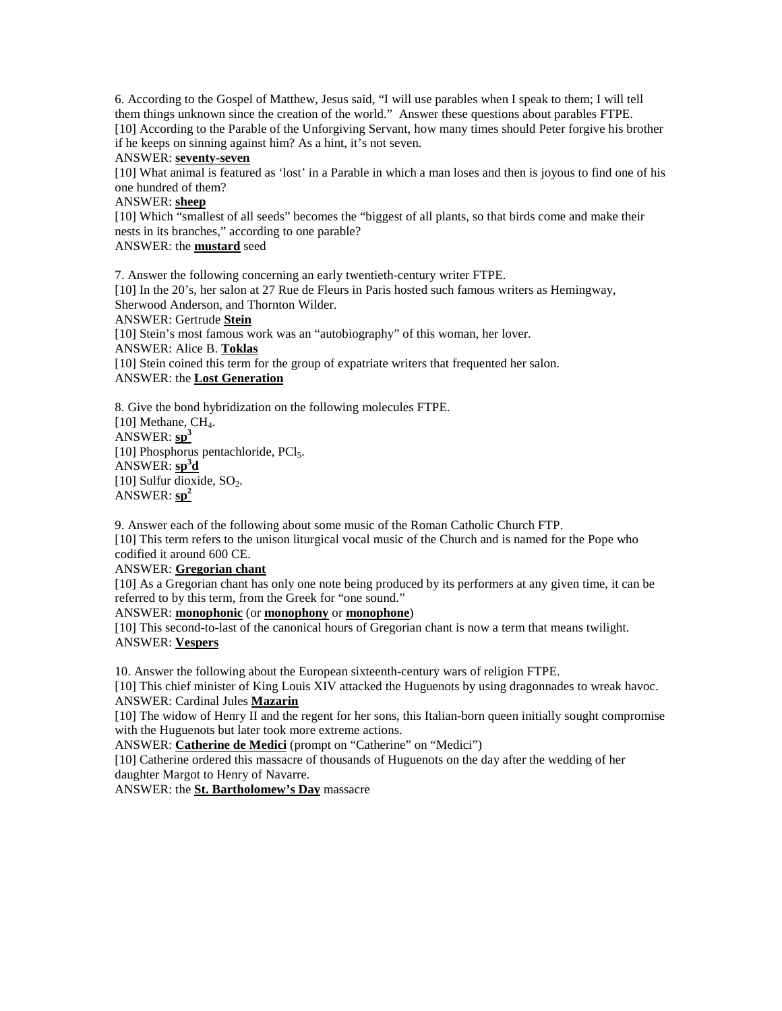6. According to the Gospel of Matthew, Jesus said, "I will use parables when I speak to them; I will tell them things unknown since the creation of the world." Answer these questions about parables FTPE. [10] According to the Parable of the Unforgiving Servant, how many times should Peter forgive his brother if he keeps on sinning against him? As a hint, it's not seven.

#### ANSWER: **seventy-seven**

[10] What animal is featured as 'lost' in a Parable in which a man loses and then is joyous to find one of his one hundred of them?

#### ANSWER: **sheep**

[10] Which "smallest of all seeds" becomes the "biggest of all plants, so that birds come and make their nests in its branches," according to one parable?

## ANSWER: the **mustard** seed

7. Answer the following concerning an early twentieth-century writer FTPE. [10] In the 20's, her salon at 27 Rue de Fleurs in Paris hosted such famous writers as Hemingway, Sherwood Anderson, and Thornton Wilder. ANSWER: Gertrude **Stein** [10] Stein's most famous work was an "autobiography" of this woman, her lover. ANSWER: Alice B. **Toklas** [10] Stein coined this term for the group of expatriate writers that frequented her salon. ANSWER: the **Lost Generation**

8. Give the bond hybridization on the following molecules FTPE. [10] Methane,  $CH<sub>4</sub>$ . ANSWER: **sp<sup>3</sup>** [10] Phosphorus pentachloride, PCl<sub>5</sub>. ANSWER: **sp<sup>3</sup> d** [10] Sulfur dioxide,  $SO_2$ . ANSWER: **sp<sup>2</sup>**

9. Answer each of the following about some music of the Roman Catholic Church FTP. [10] This term refers to the unison liturgical vocal music of the Church and is named for the Pope who codified it around 600 CE.

# ANSWER: **Gregorian chant**

[10] As a Gregorian chant has only one note being produced by its performers at any given time, it can be referred to by this term, from the Greek for "one sound."

ANSWER: **monophonic** (or **monophony** or **monophone**)

[10] This second-to-last of the canonical hours of Gregorian chant is now a term that means twilight. ANSWER: **Vespers**

10. Answer the following about the European sixteenth-century wars of religion FTPE.

[10] This chief minister of King Louis XIV attacked the Huguenots by using dragonnades to wreak havoc. ANSWER: Cardinal Jules **Mazarin**

[10] The widow of Henry  $\overline{II}$  and the regent for her sons, this Italian-born queen initially sought compromise with the Huguenots but later took more extreme actions.

ANSWER: **Catherine de Medici** (prompt on "Catherine" on "Medici")

[10] Catherine ordered this massacre of thousands of Huguenots on the day after the wedding of her daughter Margot to Henry of Navarre.

ANSWER: the **St. Bartholomew's Day** massacre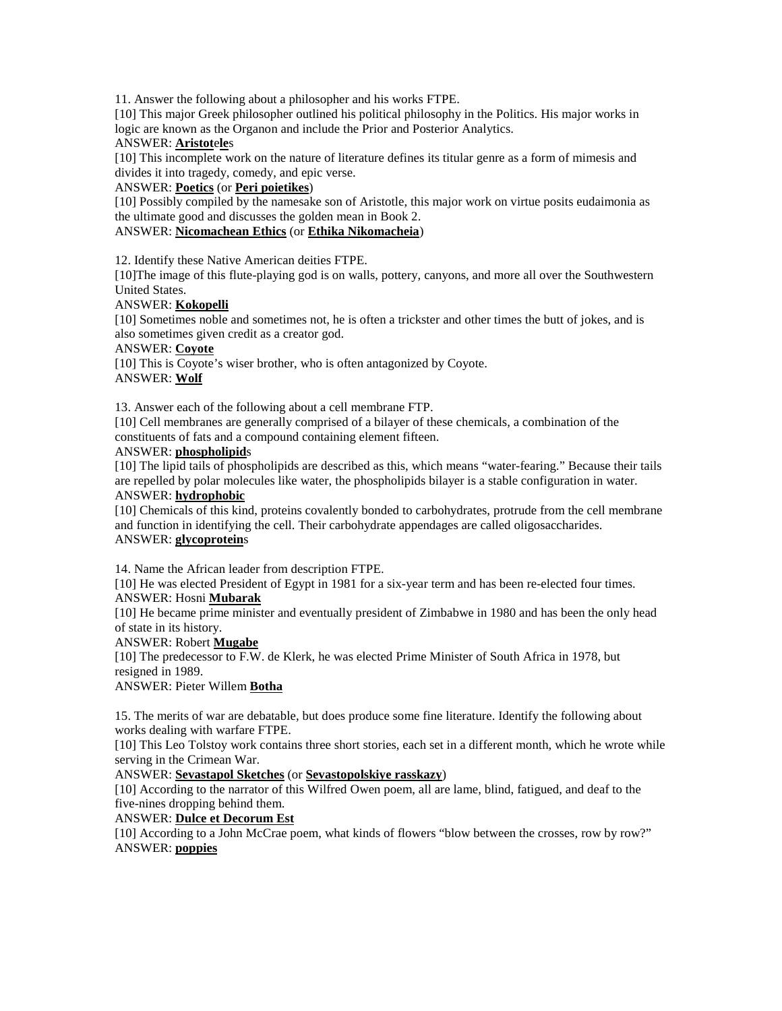11. Answer the following about a philosopher and his works FTPE.

[10] This major Greek philosopher outlined his political philosophy in the Politics. His major works in logic are known as the Organon and include the Prior and Posterior Analytics.

## ANSWER: **Aristot**e**le**s

[10] This incomplete work on the nature of literature defines its titular genre as a form of mimesis and divides it into tragedy, comedy, and epic verse.

## ANSWER: **Poetics** (or **Peri poietikes**)

[10] Possibly compiled by the namesake son of Aristotle, this major work on virtue posits eudaimonia as the ultimate good and discusses the golden mean in Book 2.

# ANSWER: **Nicomachean Ethics** (or **Ethika Nikomacheia**)

12. Identify these Native American deities FTPE.

[10]The image of this flute-playing god is on walls, pottery, canyons, and more all over the Southwestern United States.

## ANSWER: **Kokopelli**

[10] Sometimes noble and sometimes not, he is often a trickster and other times the butt of jokes, and is also sometimes given credit as a creator god.

#### ANSWER: **Coyote**

[10] This is Coyote's wiser brother, who is often antagonized by Coyote. ANSWER: **Wolf**

13. Answer each of the following about a cell membrane FTP.

[10] Cell membranes are generally comprised of a bilayer of these chemicals, a combination of the constituents of fats and a compound containing element fifteen.

#### ANSWER: **phospholipid**s

[10] The lipid tails of phospholipids are described as this, which means "water-fearing." Because their tails are repelled by polar molecules like water, the phospholipids bilayer is a stable configuration in water. ANSWER: **hydrophobic**

[10] Chemicals of this kind, proteins covalently bonded to carbohydrates, protrude from the cell membrane and function in identifying the cell. Their carbohydrate appendages are called oligosaccharides. ANSWER: **glycoprotein**s

14. Name the African leader from description FTPE.

[10] He was elected President of Egypt in 1981 for a six-year term and has been re-elected four times. ANSWER: Hosni **Mubarak**

[10] He became prime minister and eventually president of Zimbabwe in 1980 and has been the only head of state in its history.

## ANSWER: Robert **Mugabe**

[10] The predecessor to F.W. de Klerk, he was elected Prime Minister of South Africa in 1978, but resigned in 1989.

ANSWER: Pieter Willem **Botha**

15. The merits of war are debatable, but does produce some fine literature. Identify the following about works dealing with warfare FTPE.

[10] This Leo Tolstoy work contains three short stories, each set in a different month, which he wrote while serving in the Crimean War.

#### ANSWER: **Sevastapol Sketches** (or **Sevastopolskiye rasskazy**)

[10] According to the narrator of this Wilfred Owen poem, all are lame, blind, fatigued, and deaf to the five-nines dropping behind them.

## ANSWER: **Dulce et Decorum Est**

[10] According to a John McCrae poem, what kinds of flowers "blow between the crosses, row by row?" ANSWER: **poppies**